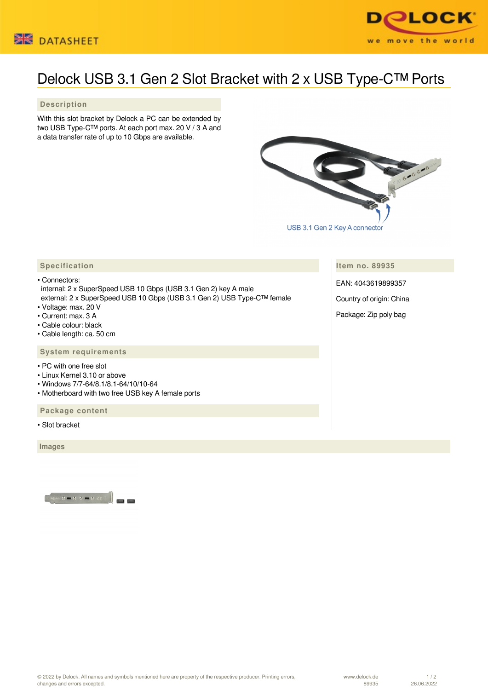



## Delock USB 3.1 Gen 2 Slot Bracket with 2 x USB Type-C™ Ports

 **Description**

With this slot bracket by Delock a PC can be extended by two USB Type-C™ ports. At each port max. 20 V / 3 A and a data transfer rate of up to 10 Gbps are available.



 **Item no. 89935** EAN: 4043619899357

Country of origin: China

Package: Zip poly bag

## **Specification**

• Connectors: internal: 2 x SuperSpeed USB 10 Gbps (USB 3.1 Gen 2) key A male external: 2 x SuperSpeed USB 10 Gbps (USB 3.1 Gen 2) USB Type-C™ female

- Voltage: max. 20 V
- Current: max. 3 A
- Cable colour: black
- Cable length: ca. 50 cm

## **System requirements**

- PC with one free slot
- Linux Kernel 3.10 or above
- Windows 7/7-64/8.1/8.1-64/10/10-64
- Motherboard with two free USB key A female ports

 **Package content**

• Slot bracket

 **Images**